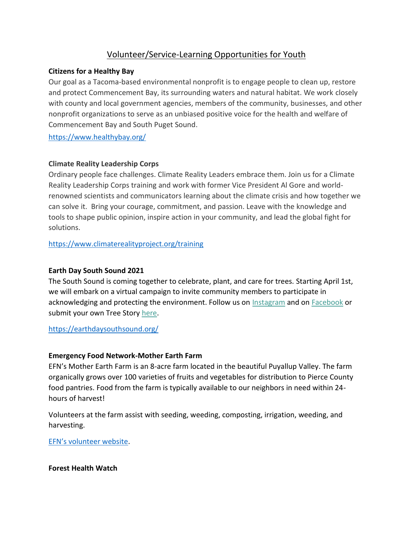# Volunteer/Service-Learning Opportunities for Youth

## **Citizens for a Healthy Bay**

Our goal as a Tacoma-based environmental nonprofit is to engage people to clean up, restore and protect Commencement Bay, its surrounding waters and natural habitat. We work closely with county and local government agencies, members of the community, businesses, and other nonprofit organizations to serve as an unbiased positive voice for the health and welfare of Commencement Bay and South Puget Sound.

<https://www.healthybay.org/>

## **Climate Reality Leadership Corps**

Ordinary people face challenges. Climate Reality Leaders embrace them. Join us for a Climate Reality Leadership Corps training and work with former Vice President Al Gore and worldrenowned scientists and communicators learning about the climate crisis and how together we can solve it. Bring your courage, commitment, and passion. Leave with the knowledge and tools to shape public opinion, inspire action in your community, and lead the global fight for solutions.

<https://www.climaterealityproject.org/training>

# **Earth Day South Sound 2021**

The South Sound is coming together to celebrate, plant, and care for trees. Starting April 1st, we will embark on a virtual campaign to invite community members to participate in acknowledging and protecting the environment. Follow us on [Instagram](https://instagram.com/earthdaysouthsound) and on [Facebook](https://facebook.com/earthdaysouthsound) or submit your own Tree Story [here.](https://www.earthdaysouthsound.com/treestories)

<https://earthdaysouthsound.org/>

# **Emergency Food Network-Mother Earth Farm**

EFN's Mother Earth Farm is an 8-acre farm located in the beautiful Puyallup Valley. The farm organically grows over 100 varieties of fruits and vegetables for distribution to Pierce County food pantries. Food from the farm is typically available to our neighbors in need within 24 hours of harvest!

Volunteers at the farm assist with seeding, weeding, composting, irrigation, weeding, and harvesting.

[EFN's volunteer website](https://app.betterimpact.com/PublicOrganization/c914eb6d-6094-4225-9c48-915840efbdcc/Activity/36a5bd05-f3f4-426c-bf5d-e3e52694665c/1).

**Forest Health Watch**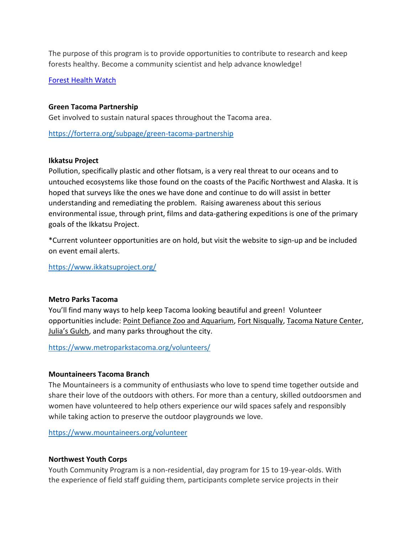The purpose of this program is to provide opportunities to contribute to research and keep forests healthy. Become a community scientist and help advance knowledge!

#### [Forest Health Watch](https://foresthealth.org/)

#### **Green Tacoma Partnership**

Get involved to sustain natural spaces throughout the Tacoma area.

<https://forterra.org/subpage/green-tacoma-partnership>

#### **Ikkatsu Project**

Pollution, specifically plastic and other flotsam, is a very real threat to our oceans and to untouched ecosystems like those found on the coasts of the Pacific Northwest and Alaska. It is hoped that surveys like the ones we have done and continue to do will assist in better understanding and remediating the problem. Raising awareness about this serious environmental issue, through print, films and data-gathering expeditions is one of the primary goals of the Ikkatsu Project.

\*Current volunteer opportunities are on hold, but visit the website to sign-up and be included on event email alerts.

<https://www.ikkatsuproject.org/>

#### **Metro Parks Tacoma**

You'll find many ways to help keep Tacoma looking beautiful and green! Volunteer opportunities include: Point Defiance Zoo and Aquarium, Fort Nisqually, Tacoma Nature Center, Julia's Gulch, and many parks throughout the city.

<https://www.metroparkstacoma.org/volunteers/>

#### **Mountaineers Tacoma Branch**

The Mountaineers is a community of enthusiasts who love to spend time together outside and share their love of the outdoors with others. For more than a century, skilled outdoorsmen and women have volunteered to help others experience our wild spaces safely and responsibly while taking action to preserve the outdoor playgrounds we love.

<https://www.mountaineers.org/volunteer>

#### **Northwest Youth Corps**

Youth Community Program is a non-residential, day program for 15 to 19-year-olds. With the experience of field staff guiding them, participants complete service projects in their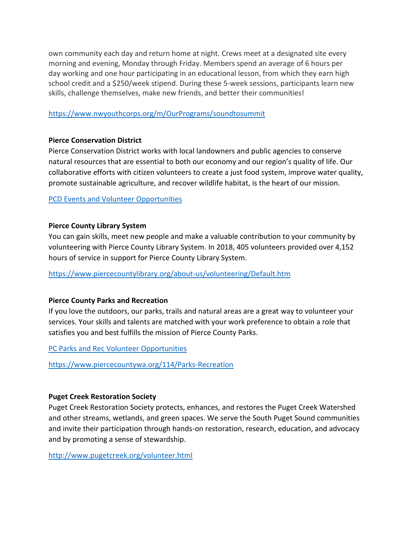own community each day and return home at night. Crews meet at a designated site every morning and evening, Monday through Friday. Members spend an average of 6 hours per day working and one hour participating in an educational lesson, from which they earn high school credit and a \$250/week stipend. During these 5-week sessions, participants learn new skills, challenge themselves, make new friends, and better their communities!

#### <https://www.nwyouthcorps.org/m/OurPrograms/soundtosummit>

## **Pierce Conservation District**

Pierce Conservation District works with local landowners and public agencies to conserve natural resources that are essential to both our economy and our region's quality of life. Our collaborative efforts with citizen volunteers to create a just food system, improve water quality, promote sustainable agriculture, and recover wildlife habitat, is the heart of our mission.

#### [PCD Events and Volunteer Opportunities](https://piercecd.org/calendar.aspx?CID=0&Keywords=&startDate=&enddate=&)

## **Pierce County Library System**

You can gain skills, meet new people and make a valuable contribution to your community by volunteering with Pierce County Library System. In 2018, 405 volunteers provided over 4,152 hours of service in support for Pierce County Library System.

<https://www.piercecountylibrary.org/about-us/volunteering/Default.htm>

#### **Pierce County Parks and Recreation**

If you love the outdoors, our parks, trails and natural areas are a great way to volunteer your services. Your skills and talents are matched with your work preference to obtain a role that satisfies you and best fulfills the mission of Pierce County Parks.

[PC Parks and Rec Volunteer Opportunities](https://www.piercecountywa.org/1491/Volunteer-Opportunities)

<https://www.piercecountywa.org/114/Parks-Recreation>

# **Puget Creek Restoration Society**

Puget Creek Restoration Society protects, enhances, and restores the Puget Creek Watershed and other streams, wetlands, and green spaces. We serve the South Puget Sound communities and invite their participation through hands-on restoration, research, education, and advocacy and by promoting a sense of stewardship.

<http://www.pugetcreek.org/volunteer.html>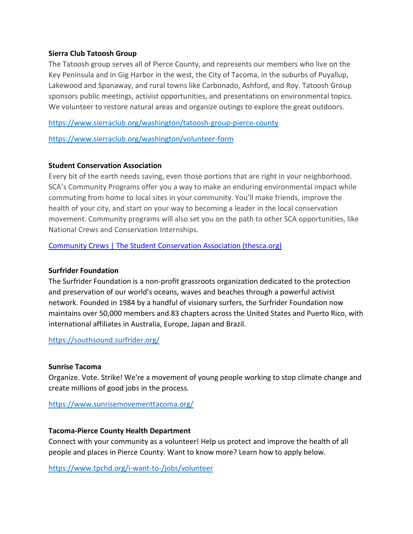#### **Sierra Club Tatoosh Group**

The Tatoosh group serves all of Pierce County, and represents our members who live on the Key Peninsula and in Gig Harbor in the west, the City of Tacoma, in the suburbs of Puyallup, Lakewood and Spanaway, and rural towns like Carbonado, Ashford, and Roy. Tatoosh Group sponsors public meetings, activist opportunities, and presentations on environmental topics. We volunteer to restore natural areas and organize outings to explore the great outdoors.

<https://www.sierraclub.org/washington/tatoosh-group-pierce-county>

<https://www.sierraclub.org/washington/volunteer-form>

## **Student Conservation Association**

Every bit of the earth needs saving, even those portions that are right in your neighborhood. SCA's Community Programs offer you a way to make an enduring environmental impact while commuting from home to local sites in your community. You'll make friends, improve the health of your city, and start on your way to becoming a leader in the local conservation movement. Community programs will also set you on the path to other SCA opportunities, like National Crews and Conservation Internships.

[Community Crews | The Student Conservation Association \(thesca.org\)](https://www.thesca.org/community)

# **Surfrider Foundation**

The Surfrider Foundation is a non-profit grassroots organization dedicated to the protection and preservation of our world's oceans, waves and beaches through a powerful activist network. Founded in 1984 by a handful of visionary surfers, the Surfrider Foundation now maintains over 50,000 members and 83 chapters across the United States and Puerto Rico, with international affiliates in Australia, Europe, Japan and Brazil.

<https://southsound.surfrider.org/>

#### **Sunrise Tacoma**

Organize. Vote. Strike! We're a movement of young people working to stop climate change and create millions of good jobs in the process.

<https://www.sunrisemovementtacoma.org/>

# **Tacoma-Pierce County Health Department**

Connect with your community as a volunteer! Help us protect and improve the health of all people and places in Pierce County. Want to know more? Learn how to apply below.

<https://www.tpchd.org/i-want-to-/jobs/volunteer>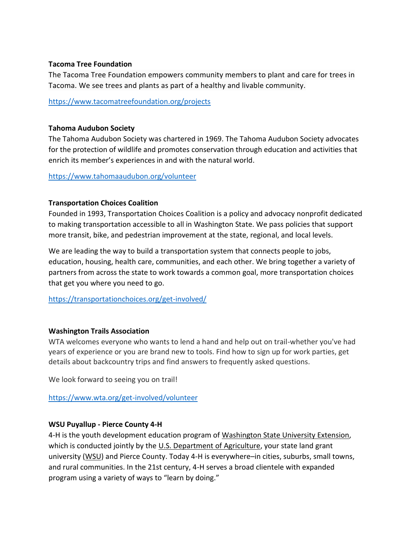#### **Tacoma Tree Foundation**

The Tacoma Tree Foundation empowers community members to plant and care for trees in Tacoma. We see trees and plants as part of a healthy and livable community.

<https://www.tacomatreefoundation.org/projects>

#### **Tahoma Audubon Society**

The Tahoma Audubon Society was chartered in 1969. The Tahoma Audubon Society advocates for the protection of wildlife and promotes conservation through education and activities that enrich its member's experiences in and with the natural world.

<https://www.tahomaaudubon.org/volunteer>

#### **Transportation Choices Coalition**

Founded in 1993, Transportation Choices Coalition is a policy and advocacy nonprofit dedicated to making transportation accessible to all in Washington State. We pass policies that support more transit, bike, and pedestrian improvement at the state, regional, and local levels.

We are leading the way to build a transportation system that connects people to jobs, education, housing, health care, communities, and each other. We bring together a variety of partners from across the state to work towards a common goal, more transportation choices that get you where you need to go.

<https://transportationchoices.org/get-involved/>

#### **Washington Trails Association**

WTA welcomes everyone who wants to lend a hand and help out on trail-whether you've had years of experience or you are brand new to tools. Find how to sign up for work parties, get details about backcountry trips and find answers to frequently asked questions.

We look forward to seeing you on trail!

<https://www.wta.org/get-involved/volunteer>

#### **WSU Puyallup - Pierce County 4-H**

4-H is the youth development education program of [Washington](http://cahnrs.wsu.edu/) State University Extension, which is conducted jointly by the U.S. [Department](http://nifa.usda.gov/) of Agriculture, your state land grant university [\(WSU\)](http://wsu.edu/) and Pierce County. Today 4-H is everywhere–in cities, suburbs, small towns, and rural communities. In the 21st century, 4-H serves a broad clientele with expanded program using a variety of ways to "learn by doing."